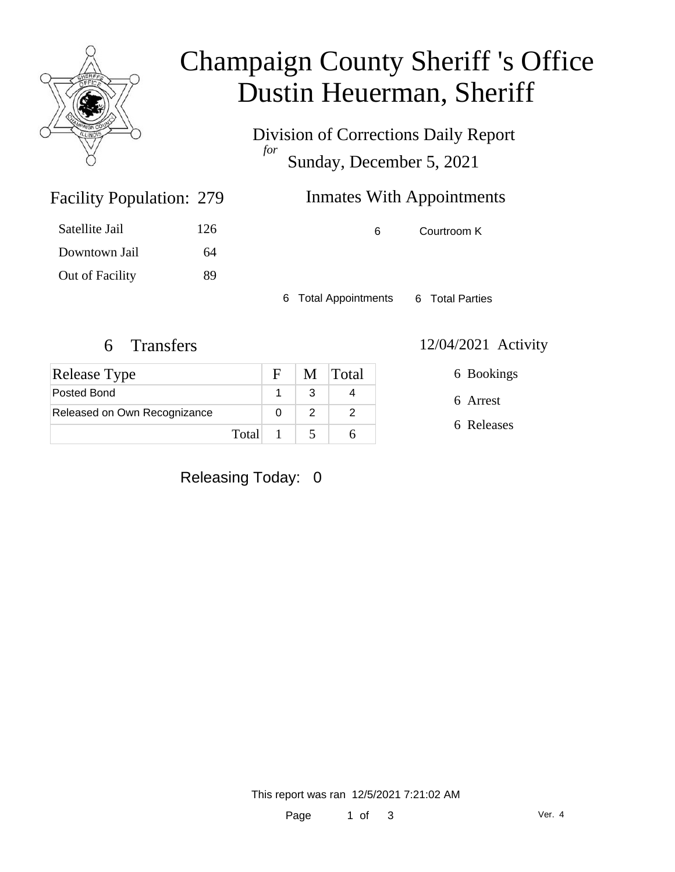

### Champaign County Sheriff 's Office Dustin Heuerman, Sheriff

Division of Corrections Daily Report *for* Sunday, December 5, 2021

### Inmates With Appointments

Satellite Jail 126 Downtown Jail 64 Out of Facility 89

Facility Population: 279

6 Courtroom K

6 Total Appointments 6 Total Parties

| <b>Release Type</b>          |       | $\mathbf{F}$ | M Total |
|------------------------------|-------|--------------|---------|
| Posted Bond                  |       |              |         |
| Released on Own Recognizance |       |              |         |
|                              | Total |              |         |

6 Transfers 12/04/2021 Activity

6 Bookings

6 Arrest

6 Releases

Releasing Today: 0

This report was ran 12/5/2021 7:21:02 AM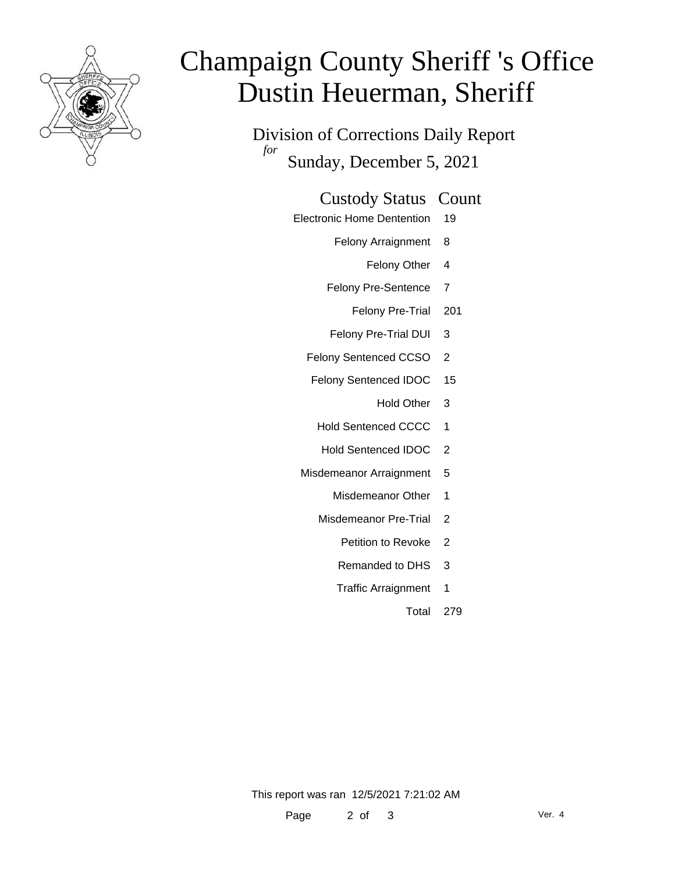

# Champaign County Sheriff 's Office Dustin Heuerman, Sheriff

Division of Corrections Daily Report *for* Sunday, December 5, 2021

#### Custody Status Count

- Electronic Home Dentention 19
	- Felony Arraignment 8
		- Felony Other 4
	- Felony Pre-Sentence 7
		- Felony Pre-Trial 201
	- Felony Pre-Trial DUI 3
	- Felony Sentenced CCSO 2
	- Felony Sentenced IDOC 15
		- Hold Other 3
		- Hold Sentenced CCCC 1
		- Hold Sentenced IDOC 2
	- Misdemeanor Arraignment 5
		- Misdemeanor Other 1
		- Misdemeanor Pre-Trial 2
			- Petition to Revoke 2
			- Remanded to DHS 3
			- Traffic Arraignment 1
				- Total 279